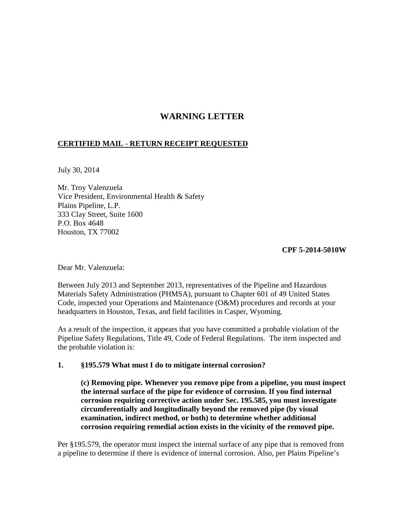## **WARNING LETTER**

## **CERTIFIED MAIL - RETURN RECEIPT REQUESTED**

July 30, 2014

Mr. Troy Valenzuela Vice President, Environmental Health & Safety Plains Pipeline, L.P. 333 Clay Street, Suite 1600 P.O. Box 4648 Houston, TX 77002

## **CPF 5-2014-5010W**

Dear Mr. Valenzuela:

Between July 2013 and September 2013, representatives of the Pipeline and Hazardous Materials Safety Administration (PHMSA), pursuant to Chapter 601 of 49 United States Code, inspected your Operations and Maintenance (O&M) procedures and records at your headquarters in Houston, Texas, and field facilities in Casper, Wyoming.

As a result of the inspection, it appears that you have committed a probable violation of the Pipeline Safety Regulations, Title 49, Code of Federal Regulations. The item inspected and the probable violation is:

## **1. §195.579 What must I do to mitigate internal corrosion?**

 **(c) Removing pipe. Whenever you remove pipe from a pipeline, you must inspect the internal surface of the pipe for evidence of corrosion. If you find internal corrosion requiring corrective action under Sec. 195.585, you must investigate circumferentially and longitudinally beyond the removed pipe (by visual examination, indirect method, or both) to determine whether additional corrosion requiring remedial action exists in the vicinity of the removed pipe.**

Per §195.579, the operator must inspect the internal surface of any pipe that is removed from a pipeline to determine if there is evidence of internal corrosion. Also, per Plains Pipeline's